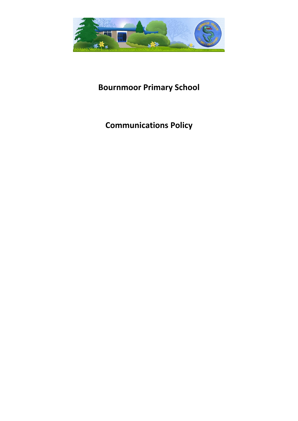

# **Bournmoor Primary School**

## **Communications Policy**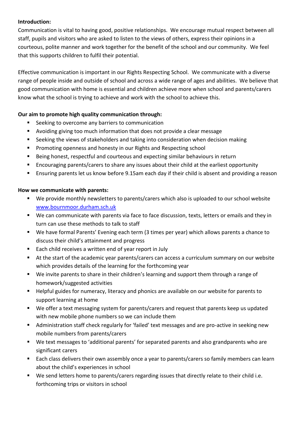#### **Introduction:**

Communication is vital to having good, positive relationships. We encourage mutual respect between all staff, pupils and visitors who are asked to listen to the views of others, express their opinions in a courteous, polite manner and work together for the benefit of the school and our community. We feel that this supports children to fulfil their potential.

Effective communication is important in our Rights Respecting School. We communicate with a diverse range of people inside and outside of school and across a wide range of ages and abilities. We believe that good communication with home is essential and children achieve more when school and parents/carers know what the school is trying to achieve and work with the school to achieve this.

## **Our aim to promote high quality communication through:**

- **EXEC** Seeking to overcome any barriers to communication
- Avoiding giving too much information that does not provide a clear message
- Seeking the views of stakeholders and taking into consideration when decision making
- **Promoting openness and honesty in our Rights and Respecting school**
- Being honest, respectful and courteous and expecting similar behaviours in return
- Encouraging parents/carers to share any issues about their child at the earliest opportunity
- Ensuring parents let us know before 9.15am each day if their child is absent and providing a reason

## **How we communicate with parents:**

- We provide monthly newsletters to parents/carers which also is uploaded to our school website [www.bournmoor.durham.sch.uk](http://www.bournmoor.durham.sch.uk/)
- We can communicate with parents via face to face discussion, texts, letters or emails and they in turn can use these methods to talk to staff
- We have formal Parents' Evening each term (3 times per year) which allows parents a chance to discuss their child's attainment and progress
- Each child receives a written end of year report in July
- At the start of the academic year parents/carers can access a curriculum summary on our website which provides details of the learning for the forthcoming year
- We invite parents to share in their children's learning and support them through a range of homework/suggested activities
- Helpful guides for numeracy, literacy and phonics are available on our website for parents to support learning at home
- We offer a text messaging system for parents/carers and request that parents keep us updated with new mobile phone numbers so we can include them
- Administration staff check regularly for 'failed' text messages and are pro-active in seeking new mobile numbers from parents/carers
- We text messages to 'additional parents' for separated parents and also grandparents who are significant carers
- Each class delivers their own assembly once a year to parents/carers so family members can learn about the child's experiences in school
- We send letters home to parents/carers regarding issues that directly relate to their child i.e. forthcoming trips or visitors in school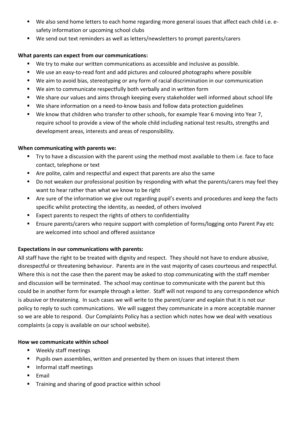- We also send home letters to each home regarding more general issues that affect each child i.e. esafety information or upcoming school clubs
- We send out text reminders as well as letters/newsletters to prompt parents/carers

#### **What parents can expect from our communications:**

- We try to make our written communications as accessible and inclusive as possible.
- We use an easy-to-read font and add pictures and coloured photographs where possible
- We aim to avoid bias, stereotyping or any form of racial discrimination in our communication
- We aim to communicate respectfully both verbally and in written form
- We share our values and aims through keeping every stakeholder well informed about school life
- We share information on a need-to-know basis and follow data protection guidelines
- We know that children who transfer to other schools, for example Year 6 moving into Year 7, require school to provide a view of the whole child including national test results, strengths and development areas, interests and areas of responsibility.

#### **When communicating with parents we:**

- Try to have a discussion with the parent using the method most available to them i.e. face to face contact, telephone or text
- Are polite, calm and respectful and expect that parents are also the same
- Do not weaken our professional position by responding with what the parents/carers may feel they want to hear rather than what we know to be right
- Are sure of the information we give out regarding pupil's events and procedures and keep the facts specific whilst protecting the identity, as needed, of others involved
- Expect parents to respect the rights of others to confidentiality
- Ensure parents/carers who require support with completion of forms/logging onto Parent Pay etc are welcomed into school and offered assistance

## **Expectations in our communications with parents:**

All staff have the right to be treated with dignity and respect. They should not have to endure abusive, disrespectful or threatening behaviour. Parents are in the vast majority of cases courteous and respectful. Where this is not the case then the parent may be asked to stop communicating with the staff member and discussion will be terminated. The school may continue to communicate with the parent but this could be in another form for example through a letter. Staff will not respond to any correspondence which is abusive or threatening. In such cases we will write to the parent/carer and explain that it is not our policy to reply to such communications. We will suggest they communicate in a more acceptable manner so we are able to respond. Our Complaints Policy has a section which notes how we deal with vexatious complaints (a copy is available on our school website).

#### **How we communicate within school**

- Weekly staff meetings
- Pupils own assemblies, written and presented by them on issues that interest them
- **Informal staff meetings**
- **Email**
- Training and sharing of good practice within school